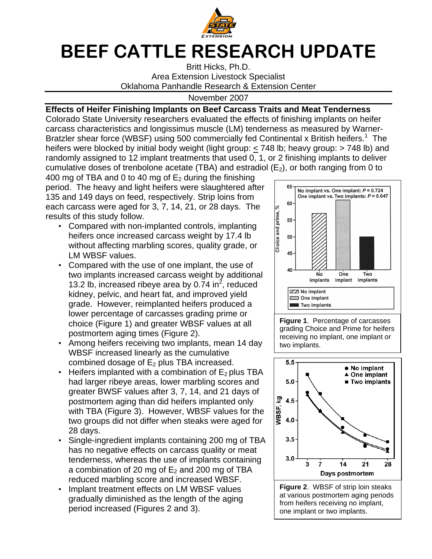

## BEEF CATTLE RESEARCH UPDATE

Britt Hicks, Ph.D. Area Extension Livestock Specialist Oklahoma Panhandle Research & Extension Center

November 2007

## **Effects of Heifer Finishing Implants on Beef Carcass Traits and Meat Tenderness**

Colorado State University researchers evaluated the effects of finishing implants on heifer carcass characteristics and longissimus muscle (LM) tenderness as measured by Warner-Bratzler shear force (WBSF) using 500 commercially fed Continental x British heifers.<sup>1</sup> The heifers were blocked by initial body weight (light group: < 748 lb; heavy group: > 748 lb) and randomly assigned to 12 implant treatments that used 0, 1, or 2 finishing implants to deliver cumulative doses of trenbolone acetate (TBA) and estradiol ( $E_2$ ), or both ranging from 0 to

400 mg of TBA and 0 to 40 mg of  $E_2$  during the finishing period. The heavy and light heifers were slaughtered after 135 and 149 days on feed, respectively. Strip loins from each carcass were aged for 3, 7, 14, 21, or 28 days. The results of this study follow.

- Compared with non-implanted controls, implanting heifers once increased carcass weight by 17.4 lb without affecting marbling scores, quality grade, or LM WBSF values.
- Compared with the use of one implant, the use of two implants increased carcass weight by additional 13.2 lb, increased ribeye area by 0.74 in<sup>2</sup>, reduced kidney, pelvic, and heart fat, and improved yield grade. However, reimplanted heifers produced a lower percentage of carcasses grading prime or choice (Figure 1) and greater WBSF values at all postmortem aging times (Figure 2).
- Among heifers receiving two implants, mean 14 day WBSF increased linearly as the cumulative combined dosage of  $E_2$  plus TBA increased.
- Heifers implanted with a combination of  $E_2$  plus TBA had larger ribeye areas, lower marbling scores and greater BWSF values after 3, 7, 14, and 21 days of postmortem aging than did heifers implanted only with TBA (Figure 3). However, WBSF values for the two groups did not differ when steaks were aged for 28 days.
- Single-ingredient implants containing 200 mg of TBA has no negative effects on carcass quality or meat tenderness, whereas the use of implants containing a combination of 20 mg of  $E_2$  and 200 mg of TBA reduced marbling score and increased WBSF.
- Implant treatment effects on LM WBSF values gradually diminished as the length of the aging period increased (Figures 2 and 3).



**Figure 1**. Percentage of carcasses grading Choice and Prime for heifers receiving no implant, one implant or two implants.



one implant or two implants.